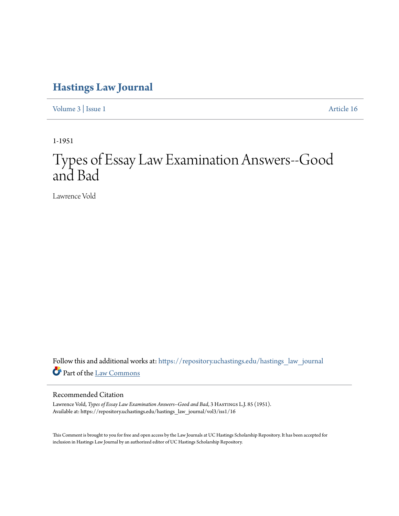## **[Hastings Law Journal](https://repository.uchastings.edu/hastings_law_journal?utm_source=repository.uchastings.edu%2Fhastings_law_journal%2Fvol3%2Fiss1%2F16&utm_medium=PDF&utm_campaign=PDFCoverPages)**

[Volume 3](https://repository.uchastings.edu/hastings_law_journal/vol3?utm_source=repository.uchastings.edu%2Fhastings_law_journal%2Fvol3%2Fiss1%2F16&utm_medium=PDF&utm_campaign=PDFCoverPages) | [Issue 1](https://repository.uchastings.edu/hastings_law_journal/vol3/iss1?utm_source=repository.uchastings.edu%2Fhastings_law_journal%2Fvol3%2Fiss1%2F16&utm_medium=PDF&utm_campaign=PDFCoverPages) [Article 16](https://repository.uchastings.edu/hastings_law_journal/vol3/iss1/16?utm_source=repository.uchastings.edu%2Fhastings_law_journal%2Fvol3%2Fiss1%2F16&utm_medium=PDF&utm_campaign=PDFCoverPages)

1-1951

# Types of Essay Law Examination Answers--Good and Bad

Lawrence Vold

Follow this and additional works at: [https://repository.uchastings.edu/hastings\\_law\\_journal](https://repository.uchastings.edu/hastings_law_journal?utm_source=repository.uchastings.edu%2Fhastings_law_journal%2Fvol3%2Fiss1%2F16&utm_medium=PDF&utm_campaign=PDFCoverPages) Part of the [Law Commons](http://network.bepress.com/hgg/discipline/578?utm_source=repository.uchastings.edu%2Fhastings_law_journal%2Fvol3%2Fiss1%2F16&utm_medium=PDF&utm_campaign=PDFCoverPages)

#### Recommended Citation

Lawrence Vold, *Types of Essay Law Examination Answers--Good and Bad*, 3 HASTINGS L.J. 85 (1951). Available at: https://repository.uchastings.edu/hastings\_law\_journal/vol3/iss1/16

This Comment is brought to you for free and open access by the Law Journals at UC Hastings Scholarship Repository. It has been accepted for inclusion in Hastings Law Journal by an authorized editor of UC Hastings Scholarship Repository.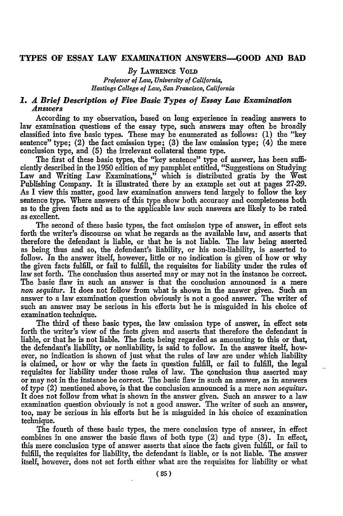#### **TYPES OF ESSAY LAW EXAMINATION ANSWERS-GOOD AND BAD**

#### *By* **LAWRENCE** VoLD

*Professor of Law, University of California, Hastings College of Law, San Francisco, California*

#### *1. A Brief Description of Five Basic Types of Essay Law Examination Answers*

According to my observation, based on long experience in reading answers to law examination questions of the essay type, such answers may often be broadly classified into five basic types. These may be enumerated as follows: (1) the "key sentence" type; (2) the fact omission type; **(3)** the law omission type; (4) the mere conclusion type, and (5) the irrelevant collateral theme type.

The first of these basic types, the "key sentence" type of answer, has been sufficiently described in the **1950** edition of my pamphlet entitled, "Suggestions on Studying Law and Writing Law Examinations," which is distributed gratis by the West Publishing Company. It is illustrated there by an example set out at pages **27-29.** As I view this matter, good law examination answers tend largely to follow the key sentence type. Where answers of this type show both accuracy and completeness both as to the given facts and as to the applicable law such answers are likely to be rated as excellent.

The second of these basic types, the fact omission type of answer, in effect sets forth the writer's discourse on what he regards as the available law, and asserts that therefore the defendant is liable, or that he is not liable. The law being asserted as being thus and so, the defendant's liability, or his non-liability, is asserted to follow. In the answer itself, however, little or no indication is given of how or why the given facts fulfill, or fail to fulfill, the requisites for liability under the rules of law set forth. The conclusion thus asserted may or may not in the instance be correct The basic flaw in such an answer is that the conclusion announced is a mere *non sequitur.* It does not follow from what is shown in the answer given. Such an answer to a law examination question obviously is not a good answer. The writer of such an answer may be serious in his efforts but he is misguided in his choice of examination technique.

The third of these basic types, the law omission type of answer, in effect sets forth the writer's view of the facts given and asserts that therefore the defendant is liable, or that he is not liable. The facts being regarded as amounting to this or that, the defendant's liability, or nonliability, is said to follow. In the answer itself, however, no indication is shown of just what the rules of law are under which liability is claimed, or how or why the facts in question fulfill, or fail to **fulfill,** the legal requisites for liability under those rules of law. The qonclusion thus asserted may or may not in the instance be correct. The basic flaw in such an answer, as in answers of type (2) mentioned above, is that the conclusion announced is a mere *non sequitur.* It does not follow from what is shown in the answer given. Such an answer to a law examination question obviously is not a good answer. The writer of such an answer, too, may be serious in his efforts but he is misguided in his choice of examination technique.

The fourth of these basic types, the mere conclusion type of answer, in effect combines in one answer the basic flaws of both type (2) and type (3). In effect, this mere conclusion type of answer asserts that since the facts given fulfill, or fail to fulfill, the requisites for liability, the defendant is liable, or is not liable. The answer itself, however, does not set forth either what are the requisites for liability or what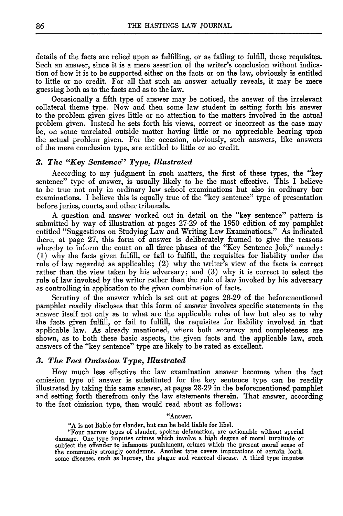details of the facts are relied upon as fulfilling, or as failing to fulfill, those requisites. Such an answer, since it is a mere assertion of the writer's conclusion without indication of how it is to be supported either on the facts or on the law, obviously is entitled to little or no credit. For all that such an answer actually reveals, it may be mere guessing both as to the facts and as to the law.

Occasionally a fifth type of answer may be noticed, the answer of the irrelevant collateral theme type. Now and then some law student in setting forth his answer to the problem given gives little or no attention to the matters involved in the actual problem given. Instead he sets forth his views, correct or incorrect as the case may be, on some unrelated outside matter having little or no appreciable bearing upon the actual problem given. For the occasion, obviously, such answers, like answers of the mere conclusion type, are entitled to little or no credit.

#### *2. The "Key Sentence" Type, Illustrated*

According to my judgment in such matters, the first of these types, the "key sentence" type of answer, is usually likely to be the most effective. This I believe to be true not only in ordinary law school examinations but also in ordinary bar examinations. I believe this is equally true of the "key sentence" type of presentation before juries, courts, and other tribunals.

A question and answer worked out in detail on the "key sentence" pattern is submitted by way of illustration at pages 27-29 of the 1950 edition of my pamphlet entitled "Suggestions on Studying Law and Writing Law Examinations." As indicated there, at page 27, this form of answer is deliberately framed to give the reasons whereby to inform the court on all three phases of the "Key Sentence Job," namely: (1) why the facts given fulfill, or fail to fulfill, the requisites for liability under the rule of law regarded as applicable; (2) why the writer's view of the facts is correct rather than the view taken by his adversary; and (3) why it is correct to select the rule of law invoked by the writer rather than the rule of law invoked by his adversary as controlling in application to the given combination of facts.

Scrutiny of the answer which is set out at pages 28-29 of the beforementioned pamphlet readily discloses that this form of answer involves specific statements in the answer itself not only as to what are the applicable rules of law but also as to why the facts given fulfill, or fail to fulfill, the requisites for liability involved in that applicable law. As already mentioned, where both accuracy and completeness are shown, as to both these basic aspects, the given facts and the applicable law, such answers of the "key sentence" type are likely to be rated as excellent.

#### *3. The Fact Omission Type, Illustrated*

How much less effective the law examination answer becomes when the fact omission type of answer is substituted for the key sentence type can be readily illustrated by taking this same answer, at pages 28-29 in the beforementioned pamphlet and setting forth therefrom only the law statements therein. That answer, according to the fact omission type, then would read about as follows:

"Answer.

**"A** is not liable for slander, **but** can be held liable for libel.

"Four narrow types of slander, spoken defamation, are actionable without special damage. One type imputes crimes which involve a high degree of moral turpitude or subject the offender to infamous punishment, crimes which the present moral sense of the community strongly condemns. Another type covers imputations of certain loathsome diseases, such as leprosy, the plague and venereal disease. A third type imputes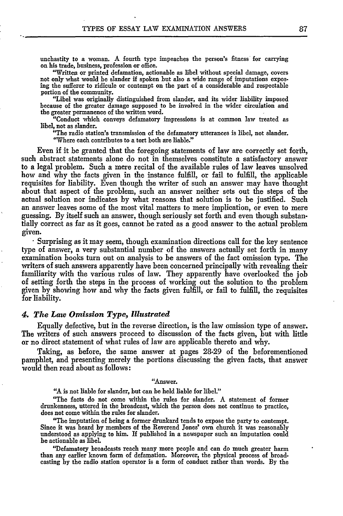unchastity to a woman. A fourth type impeaches the person's fitness for carrying on his trade, business, profession or office.

"Written or printed defamation, actionable as libel without special damage, covers not only what would be slander if spoken but also a wide range of imputations exposing the sufferer to ridicule or contempt on the part of a considerable and respectable portion of the community.

"Libel was originally distinguished from slander, and its wider liability imposed because of the greater damage supposed to be involved in the wider circulation and the greater permanence of the written word.

"Conduct which conveys defamatory impressions is at common law treated as libel, not as slander.

"The radio station's transmission of the defamatory utterances is libel, not slander. "Where each contributes to a tort both are liable."

Even if it be granted that the foregoing statements of law are correctly set forth, such abstract statements alone do not in themselves constitute a satisfactory answer to a legal problem. Such a mere recital of the available rules of law leaves unsolved how and why the facts given in the instance fulfill, or fail to fulfill, the applicable requisites for liability. Even though the writer of such an answer may have thought about that aspect of the problem, such an answer neither sets out the steps of the actual solution nor indicates by what reasons that solution is to be justified. Such an answer leaves some of the most vital matters to mere implication, or even to mere guessing. By itself such an answer, though seriously set forth and even though substantially correct as far as it goes, cannot be rated as a good answer to the actual problem given. **.** Surprising as it may seem, though examination directions call for the key sentence

type of answer, a very substantial number of the answers actually set forth in many examination books turn out on analysis to be answers of the fact omission type. The writers of such answers apparently have been concerned principally with revealing their familiarity with the various rules of law. They apparently have overlooked the job of setting forth the steps in the process of working out the solution to the problem given by showing how and why the facts given fulfill, or fail to fulfill, the requisites for liability.

#### *4. The Law Omission Type, Illustrated*

Equally defective, but in the reverse direction, is the law omission type of answer. The writers of such answers proceed to discussion of the facts given, but with little or no direct statement of what rules of law are applicable thereto and why.

Taking, as before, the same answer at pages 28-29 of the beforementioned pamphlet, and presenting merely the portions discussing the given facts, that answer would then read about as follows:

"Answer.

"A is not liable for slander, but can be held liable for libel."

"The facts do not come within the rules for slander. A statement of former drunkenness, uttered in the broadcast, which the person does not continue to practice, does not come within the rules for slander.

"The imputation of being a former drunkard tends to expose the party to contempt. Since it was heard by members of the Reverend Jones' own church it was reasonably understood as applying to him. If published in a newspaper such an imputation could be actionable as libel.

"Defamatory broadcasts reach many more people and can do much greater harm than any earlier known form of defamation. Moreover, the physical process of broadcasting **by** the radio station operator is a form of conduct rather than words. **By** the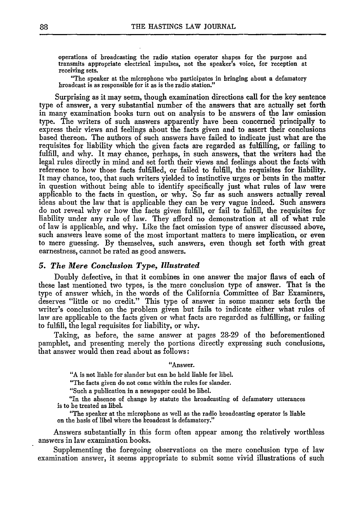operations of broadcasting the radio station operator shapes for the purpose and transmits appropriate electrical impulses, not the speaker's voice, for reception at receiving sets.

"The speaker at the microphone who participates in bringing about a defamatory broadcast is as responsible for it as is the radio station."

Surprising as it may seem, though examination directions call for the key sentence type of answer, a very substantial number of the answers that are actually set forth in many examination books turn out on analysis to be answers of the law omission type. The writers of such answers apparently have been concerned principally to express their views and feelings about the facts given and to assert their conclusions based thereon. The authors of such answers have failed to indicate just what are the requisites for liability which the given facts are regarded as fulfilling, or failing to fulfill, and why. It may chance, perhaps, in such answers, that the writers had the legal rules directly in mind and set forth their views and feelings about the facts with reference to how those facts fulfilled, or failed to fulfill, the requisites for liability. It may chance, too, that such writers yielded to instinctive urges or bents in the matter in question without being able to identify specifically just what rules of law were applicable to the facts in question, or why. So far as such answers actually reveal ideas about the law that is applicable they can be very vague indeed. Such answers do not reveal why or how the facts given fulfill, or fail to fulfill, the requisites for liability under any rule of law. They afford no demonstration at all of what rule of law is applicable, and why. Like the fact omission type of answer discussed above, such answers leave some of the most important matters to mere implication, or even to mere guessing. By themselves, such answers, even though set forth with great earnestness, cannot be rated as good answers.

#### *5. The Mere Conclusion Type, Illustrated*

Doubly defective, in that it combines in one answer the major flaws of each of these last mentioned two types, is the mere conclusion type of answer. That is the type of answer which, in the words of the California Committee of Bar Examiners, deserves "little or no credit." This type of answer in some manner sets forth the writer's conclusion on the problem given but fails to indicate either what rules of law are applicable to the facts given or what facts are regarded as fulfilling, or failing to fulfill, the legal requisites for liability, or why.

Taking, as before, the same answer at pages 28-29 of the beforementioned pamphlet, and presenting merely the portions directly expressing such conclusions, that answer would then read about as follows:

#### "Answer.

"A is not liable for slander but can be held liable for libel.

"The facts given do not come within the rules for slander.

"Such a publication in a newspaper could be libel.

"In the absence of change by statute the broadcasting of defamatory utterances is to be treated as libel.

"The speaker at the microphone as well as the radio broadcasting operator is liable on the basis of libel where the broadcast is defamatory."

Answers substantially in this form often appear among the relatively worthless answers in law examination books.

Supplementing the foregoing observations on the mere conclusion type of law examination answer, it seems appropriate to submit some vivid illustrations of such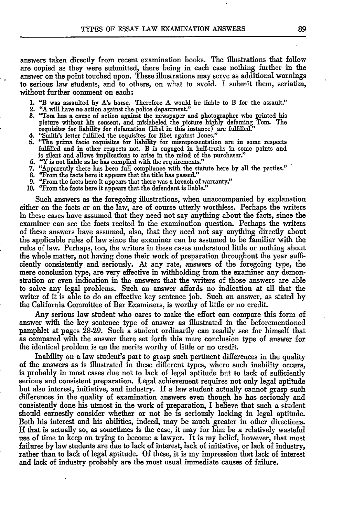answers taken directly from recent examination books. The illustrations that follow are copied as they were submitted, there being in each case nothing further in the answer on the point touched upon. These illustrations may serve as additional warnings to serious law students, and to others, on what to avoid. I submit them, seriatim, without further comment on each:

- 1. "B was assaulted **by** A!s horse. Therefore A would be liable to B for the assault." 2. "A will have no action against the police department."
- 
- 3. "Tom has a cause of action against the newspaper and photographer who printed his picture without his consent, and mislabeled the picture highly defaming Tom. The requisites for liability for defamation (libel in this instance) are fulfilled."
- "Smith's letter fulfilled the requisites for libel against Jones."
- **5.** "The prima facie requisites for liability for misrepresentation are in some respects fulfilled and in other respects not. B is engaged in half-truths in some points and is silent and allows implications to arise in the mind of the purchaser.'
- *6.* "Y is not liable as he has complied with the requirements."
- **7.** "Apparently there has been full compliance with the statute here by all the parties:'
- 
- 8. "From the facts here it appears that the title has passed." **9.** "From the facts here it appears that there was a breach of warranty." **10.** "From the facts here it appears that the defendant is liable."
- 

Such answers as the foregoing illustrations, when unaccompanied by explanation either on the facts or on the law, are of course utterly worthless. Perhaps the writers in these cases have assumed that they need not say anything about the facts, since the examiner can see the facts recited in the examination question. Perhaps the writers of these answers have assumed, also, that they need not say anything directly about the applicable rules of law since the examiner can be assumed to be familiar with the rules of law. Perhaps, too, the writers in these cases understood little or nothing about the whole matter, not having done their work of preparation throughout the year sufficiently consistently and seriously. At any rate, answers of the foregoing type, the mere conclusion type, are very effective in withholding from the examiner any demonstration or even indication in the answers that the writers of those answers are able to solve any legal problems. Such an answer affords no indication at all that the writer of it is able to do an effective key sentence job. Such an answer, as stated by the California Committee of Bar Examiners, is worthy of little or no credit.

Any serious law student who cares to make the effort can compare this form of answer with the key sentence type of answer as illustrated in the beforementioned pamphlet at pages 28-29. Such a student ordinarily can readily see for himself that as compared with the answer there set forth this mere conclusion type of answer for the identical problem is on the merits worthy of little or no credit.

Inability on a law student's part to grasp such pertinent differences in the quality of the answers as is illustrated in these different types, where such inability occurs, is probably in most cases due not to lack of legal aptitude but to lack of sufficiently serious and consistent preparation. Legal achievement requires not only legal aptitude but also interest, initiative, and industry. If a law student actually cannot grasp such differences in the quality of examination answers even though he has seriously and consistently done his utmost in the work of preparation, I believe that such a student should earnestly consider whether or not he is seriously lacking in legal aptitude. Both his interest and his abilities, indeed, may be much greater in other directions. If that is actually so, as sometimes is the case, it may for him be a relatively wasteful use of time to keep on trying to become a lawyer. It is my belief, however, that most failures by law students are due to lack of interest, lack of initiative, or lack of industry, rather than to lack of legal aptitude. Of these, it is my impression that lack of interest and lack of industry probably are the most usual immediate causes of failure.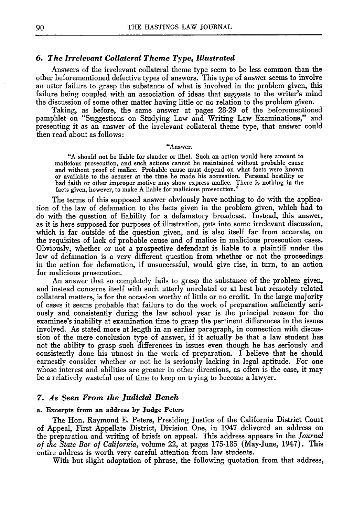#### *6. The Irrelevant Collateral Theme Type, Illustrated*

Answers of the irrelevant collateral theme type seem to be less common than the other beforementioned defective types of answers. This type of answer seems to involve an utter failure to grasp the substance of what is involved in the problem given, this failure being coupled with an association of ideas that suggests to the writer's mind the discussion of some other matter having little or no relation to the problem given.

Taking, as before, the same answer at pages 28-29 of the beforementioned pamphlet on "Suggestions on Studying Law and Writing Law Examinations," and presenting it as an answer of the irrelevant collateral theme type, that answer could then read about as follows:

#### "Answer.

**"A** should not be liable for slander or libel. Such an action would here **amount to** malicious prosecution, and such actions cannot **be** maintained without probable cause and without proof of malice. Probable cause must depend on what facts were known<br>or available to the accuser at the time he made his accusation. Personal hostility or<br>bad faith or other improper motive may show express mal facts given, however, to make **A** liable for malicious prosecution."

The terms of this supposed answer obviously have nothing to do with the application of the law of defamation to the facts given in the problem given, which had to do with the question of liability for a defamatory broadcast. Instead, this answer, as it is here supposed for purposes of illustration, gets into some irrelevant discussion, which is far outside of the question given, and is also itself far from accurate, on the requisites of lack of probable cause and of malice in malicious prosecution cases. Obviously, whether or not a prospective defendant is liable to a plaintiff under the law of defamation is a very different question from whether or not the proceedings in the action for defamation, if unsuccessful, would give rise, in turn, to an action for malicious prosecution.

An answer that so completely fails to grasp the substance of the problem given, and instead concerns itself with such utterly unrelated or at best but remotely related collateral matters, is for the occasion worthy of little or no credit. In the large majority of cases it seems probable that failure to do the work of preparation sufficiently seriously and consistently during the law school year is the principal reason for the examinee's inability at examination time to grasp the pertinent differences in the issues involved. As stated more at length in an earlier paragraph, in connection with discussion of the mere conclusion type of answer, if it actually be that a law student has not the ability to grasp such differences in issues even though he has seriously and consistently done his utmost in the work of preparation. I believe that he should earnestly consider whether or not he is seriously lacking in legal aptitude. For one whose interest and abilities are greater in other directions, as often is the case, it may be a relatively wasteful use of time to keep on trying to become a lawyer.

#### *7. As Seen From the Judicial Bench*

#### a. **Excerpts from an address by Judge Peters**

The Hon. Raymond **E.** Peters, Presiding Justice of the California District Court of Appeal, First Appellate District, Division One, in 1947 delivered an address on the preparation and writing of briefs on appeal. This address appears in the *Journal of the State Bar of California,* volume 22, at pages 175-185 (May-June, 1947). This entire address is worth very careful attention from law students.

With but slight adaptation of phrase, the following quotation from that address,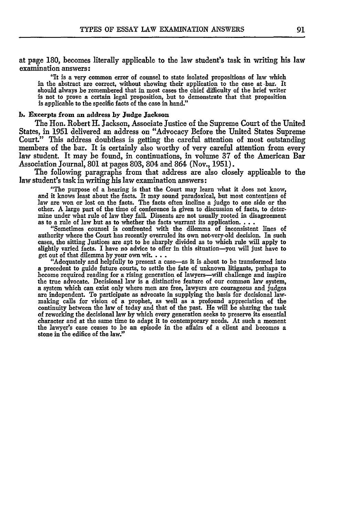at page 180, becomes literally applicable to the law student's task in writing his law examination answers:

"It is a **very** common error of counsel to state isolated propositions of law which in the abstract are correct, without showing their application to the case at -bar. It should always be remembered that in most cases the chief difficulty of the brief writer is not to prove a certain legal proposition, but to demonstrate that that proposition is applicable to the specific facts of the case in hand."

#### **b.** Excerpts from an address **by Judge Jackson**

The Hon. Robert H. Jackson, Associate Justice of the Supreme Court of the United States, in 1951 delivered an address on "Advocacy Before the United States Supreme Court." This address doubtless is getting the careful attention of most outstanding members of the bar. It is certainly also worthy of very careful attention from every law student. It may be found, in continuations, in volume 37 of the American Bar Association Journal, **801** at pages 803, 804 and 864 (Nov., 1951).

The following paragraphs from that address are also closely applicable to the law student's task in writing his law examination answers:

"The purpose of a hearing is that the Court may learn what **it** does **not know,** and it knows least about the facts. It may sound paradoxical, but most contentions of law are won or lost on the facts. The facts often incline a judge to one side or the other. A large part of the time of conference is given to discussion of facts, to determine under what rule of law they fall. Dissents are not usually rooted in disagreement as to a rule of law but as to whether the facts warrant its application....

"Sometimes counsel is confronted with the dilemma of inconsistent lines of authority where the Court has recently overruled **its** own not-very-old decision. In such cases, the sitting Justices are apt to be sharply divided as to which rule will apply to slightly varied facts. I have no advice to offer in this situation-you will just have to get out of that dilemma by your own wit....

"Adequately and helpfully to present a case-as it is about to be transformed into a precedent to guide future courts, to settle the fate of unknown litigants, perhaps to become required reading for a rising generation of l the true advocate. Decisional law is a distinctive feature of our common law system, a system which can exist only where men are free, lawyers are courageous and judges are independent. To participate as advocate in supply making calls for vision of a prophet, as well as a profound appreciation of the continuity between the law of today and that of the past. He will be sharing the task of reworking the decisional law **by** which every generation seeks to preserve **its** essential character and at the same time to adapt **it** to contemporary needs. At such a moment the lawyer's case ceases to be an episode in the affairs of a client and becomes a stone in the edifice of the law."